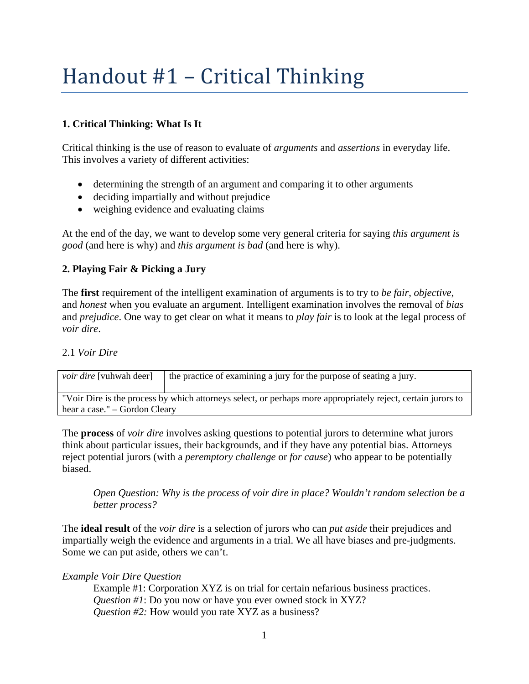# Handout #1 – Critical Thinking

## **1. Critical Thinking: What Is It**

Critical thinking is the use of reason to evaluate of *arguments* and *assertions* in everyday life. This involves a variety of different activities:

- determining the strength of an argument and comparing it to other arguments
- deciding impartially and without prejudice
- weighing evidence and evaluating claims

At the end of the day, we want to develop some very general criteria for saying *this argument is good* (and here is why) and *this argument is bad* (and here is why).

### **2. Playing Fair & Picking a Jury**

The **first** requirement of the intelligent examination of arguments is to try to *be fair*, *objective*, and *honest* when you evaluate an argument. Intelligent examination involves the removal of *bias*  and *prejudice*. One way to get clear on what it means to *play fair* is to look at the legal process of *voir dire*.

### 2.1 *Voir Dire*

| <i>voir dire</i> [vuhwah deer]                                                                               | the practice of examining a jury for the purpose of seating a jury. |
|--------------------------------------------------------------------------------------------------------------|---------------------------------------------------------------------|
| "Voir Dire is the process by which attorneys select, or perhaps more appropriately reject, certain jurors to |                                                                     |
| hear a case." – Gordon Cleary                                                                                |                                                                     |

The **process** of *voir dire* involves asking questions to potential jurors to determine what jurors think about particular issues, their backgrounds, and if they have any potential bias. Attorneys reject potential jurors (with a *peremptory challenge* or *for cause*) who appear to be potentially biased.

*Open Question: Why is the process of voir dire in place? Wouldn't random selection be a better process?*

The **ideal result** of the *voir dire* is a selection of jurors who can *put aside* their prejudices and impartially weigh the evidence and arguments in a trial. We all have biases and pre-judgments. Some we can put aside, others we can't.

### *Example Voir Dire Question*

Example #1: Corporation XYZ is on trial for certain nefarious business practices. *Question #1*: Do you now or have you ever owned stock in XYZ? *Question #2:* How would you rate XYZ as a business?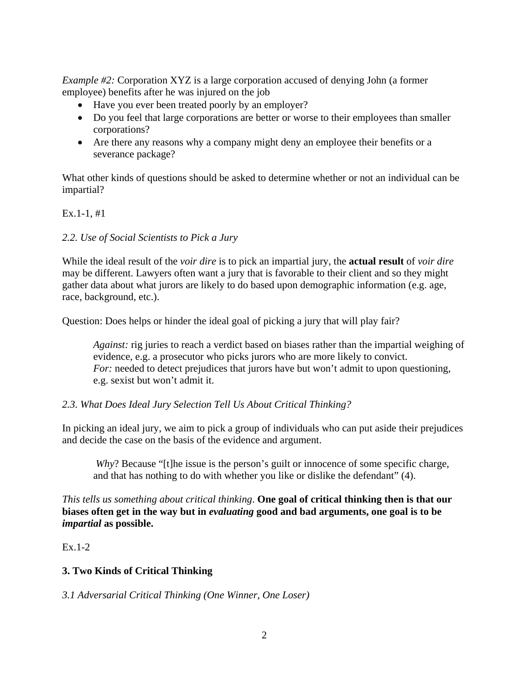*Example #2:* Corporation XYZ is a large corporation accused of denying John (a former employee) benefits after he was injured on the job

- Have you ever been treated poorly by an employer?
- Do you feel that large corporations are better or worse to their employees than smaller corporations?
- Are there any reasons why a company might deny an employee their benefits or a severance package?

What other kinds of questions should be asked to determine whether or not an individual can be impartial?

### Ex.1-1, #1

### *2.2. Use of Social Scientists to Pick a Jury*

While the ideal result of the *voir dire* is to pick an impartial jury, the **actual result** of *voir dire* may be different. Lawyers often want a jury that is favorable to their client and so they might gather data about what jurors are likely to do based upon demographic information (e.g. age, race, background, etc.).

Question: Does helps or hinder the ideal goal of picking a jury that will play fair?

*Against:* rig juries to reach a verdict based on biases rather than the impartial weighing of evidence, e.g. a prosecutor who picks jurors who are more likely to convict. *For:* needed to detect prejudices that jurors have but won't admit to upon questioning, e.g. sexist but won't admit it.

#### *2.3. What Does Ideal Jury Selection Tell Us About Critical Thinking?*

In picking an ideal jury, we aim to pick a group of individuals who can put aside their prejudices and decide the case on the basis of the evidence and argument.

*Why*? Because "[t]he issue is the person's guilt or innocence of some specific charge, and that has nothing to do with whether you like or dislike the defendant" (4).

*This tells us something about critical thinking*. **One goal of critical thinking then is that our biases often get in the way but in** *evaluating* **good and bad arguments, one goal is to be** *impartial* **as possible.** 

Ex.1-2

### **3. Two Kinds of Critical Thinking**

*3.1 Adversarial Critical Thinking (One Winner, One Loser)*